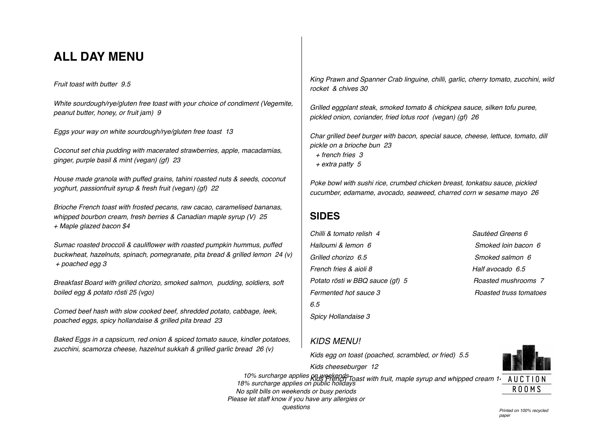# **ALL DAY MENU**

#### *Fruit toast with butter 9.5*

*White sourdough/rye/gluten free toast with your choice of condiment (Vegemite, peanut butter, honey, or fruit jam) 9*

*Eggs your way on white sourdough/rye/gluten free toast 13* 

*Coconut set chia pudding with macerated strawberries, apple, macadamias, ginger, purple basil & mint (vegan) (gf) 23*

*House made granola with puffed grains, tahini roasted nuts & seeds, coconut yoghurt, passionfruit syrup & fresh fruit (vegan) (gf) 22*

*Brioche French toast with frosted pecans, raw cacao, caramelised bananas, whipped bourbon cream, fresh berries & Canadian maple syrup (V) 25 + Maple glazed bacon \$4*

*Sumac roasted broccoli & cauliflower with roasted pumpkin hummus, puffed buckwheat, hazelnuts, spinach, pomegranate, pita bread & grilled lemon 24 (v) + poached egg 3*

*Breakfast Board with grilled chorizo, smoked salmon, pudding, soldiers, soft boiled egg & potato rösti 25 (vgo)*

*Corned beef hash with slow cooked beef, shredded potato, cabbage, leek, poached eggs, spicy hollandaise & grilled pita bread 23* 

*Baked Eggs in a capsicum, red onion & spiced tomato sauce, kindler potatoes, zucchini, scamorza cheese, hazelnut sukkah & grilled garlic bread 26 (v)*

*King Prawn and Spanner Crab linguine, chilli, garlic, cherry tomato, zucchini, wild rocket & chives 30*

*Grilled eggplant steak, smoked tomato & chickpea sauce, silken tofu puree, pickled onion, coriander, fried lotus root (vegan) (gf) 26*

*Char grilled beef burger with bacon, special sauce, cheese, lettuce, tomato, dill pickle on a brioche bun 23*

- *+ french fries 3*
- *+ extra patty 5*

*Poke bowl with sushi rice, crumbed chicken breast, tonkatsu sauce, pickled cucumber, edamame, avocado, seaweed, charred corn w sesame mayo 26* 

# **SIDES**

*Chilli & tomato relish 4 Sautéed Greens 6 Halloumi & lemon 6 Smoked loin bacon 6 Grilled chorizo 6.5 Smoked salmon 6 French fries & aioli 8*  $\overline{a}$  **Half avocado 6.5** *Potato rösti w BBQ sauce (gf) 5*  $\qquad \qquad$  *Roasted mushrooms 7 Fermented hot sauce 3 Roasted truss tomatoes 6.5*

*Spicy Hollandaise 3* 

#### *KIDS MENU!*

*Kids egg on toast (poached, scrambled, or fried) 5.5* 

*Kids cheeseburger 12*



**ROOMS** 

10% surcharge applies on weekends Toast with fruit, maple syrup and whipped cream 1<sup>4</sup> *No split bills on weekends or busy periods 18% surcharge applies on public holidays*

*Please let staff know if you have any allergies or*